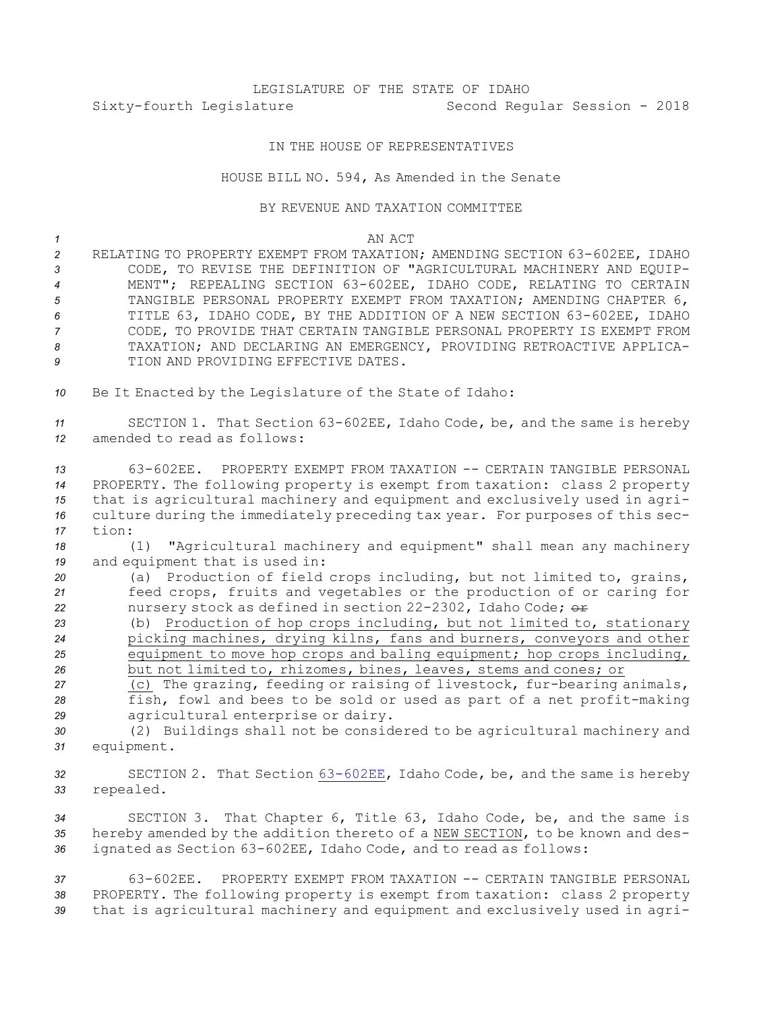## LEGISLATURE OF THE STATE OF IDAHO Sixty-fourth Legislature Second Regular Session - 2018

## IN THE HOUSE OF REPRESENTATIVES

## HOUSE BILL NO. 594, As Amended in the Senate

## BY REVENUE AND TAXATION COMMITTEE

- *<sup>2</sup>* RELATING TO PROPERTY EXEMPT FROM TAXATION; AMENDING SECTION 63-602EE, IDAHO *3* CODE, TO REVISE THE DEFINITION OF "AGRICULTURAL MACHINERY AND EQUIP-*<sup>4</sup>* MENT"; REPEALING SECTION 63-602EE, IDAHO CODE, RELATING TO CERTAIN *<sup>5</sup>* TANGIBLE PERSONAL PROPERTY EXEMPT FROM TAXATION; AMENDING CHAPTER 6, *<sup>6</sup>* TITLE 63, IDAHO CODE, BY THE ADDITION OF A NEW SECTION 63-602EE, IDAHO *7* CODE, TO PROVIDE THAT CERTAIN TANGIBLE PERSONAL PROPERTY IS EXEMPT FROM *8* TAXATION; AND DECLARING AN EMERGENCY, PROVIDING RETROACTIVE APPLICA-**9** TION AND PROVIDING EFFECTIVE DATES.
- *<sup>10</sup>* Be It Enacted by the Legislature of the State of Idaho:

*<sup>11</sup>* SECTION 1. That Section 63-602EE, Idaho Code, be, and the same is hereby *12* amended to read as follows:

 63-602EE. PROPERTY EXEMPT FROM TAXATION -- CERTAIN TANGIBLE PERSONAL PROPERTY. The following property is exempt from taxation: class 2 property that is agricultural machinery and equipment and exclusively used in agri- culture during the immediately preceding tax year. For purposes of this sec-*17* tion:

*<sup>18</sup>* (1) "Agricultural machinery and equipment" shall mean any machinery *<sup>19</sup>* and equipment that is used in:

*<sup>20</sup>* (a) Production of field crops including, but not limited to, grains, *<sup>21</sup>* feed crops, fruits and vegetables or the production of or caring for 22 nursery stock as defined in section 22-2302, Idaho Code;  $\theta$ 

 (b) Production of hop crops including, but not limited to, stationary picking machines, drying kilns, fans and burners, conveyors and other equipment to move hop crops and baling equipment; hop crops including, but not limited to, rhizomes, bines, leaves, stems and cones; or

*<sup>27</sup>* (c) The grazing, feeding or raising of livestock, fur-bearing animals, *<sup>28</sup>* fish, fowl and bees to be sold or used as part of <sup>a</sup> net profit-making *<sup>29</sup>* agricultural enterprise or dairy.

*<sup>30</sup>* (2) Buildings shall not be considered to be agricultural machinery and *<sup>31</sup>* equipment.

*<sup>32</sup>* SECTION 2. That Section [63-602EE](https://legislature.idaho.gov/statutesrules/idstat/Title63/T63CH6/SECT63-602EE), Idaho Code, be, and the same is hereby *<sup>33</sup>* repealed.

*<sup>34</sup>* SECTION 3. That Chapter 6, Title 63, Idaho Code, be, and the same is *<sup>35</sup>* hereby amended by the addition thereto of <sup>a</sup> NEW SECTION, to be known and des-*<sup>36</sup>* ignated as Section 63-602EE, Idaho Code, and to read as follows:

*37* 63-602EE. PROPERTY EXEMPT FROM TAXATION -- CERTAIN TANGIBLE PERSONAL *<sup>38</sup>* PROPERTY. The following property is exempt from taxation: class 2 property *<sup>39</sup>* that is agricultural machinery and equipment and exclusively used in agri-